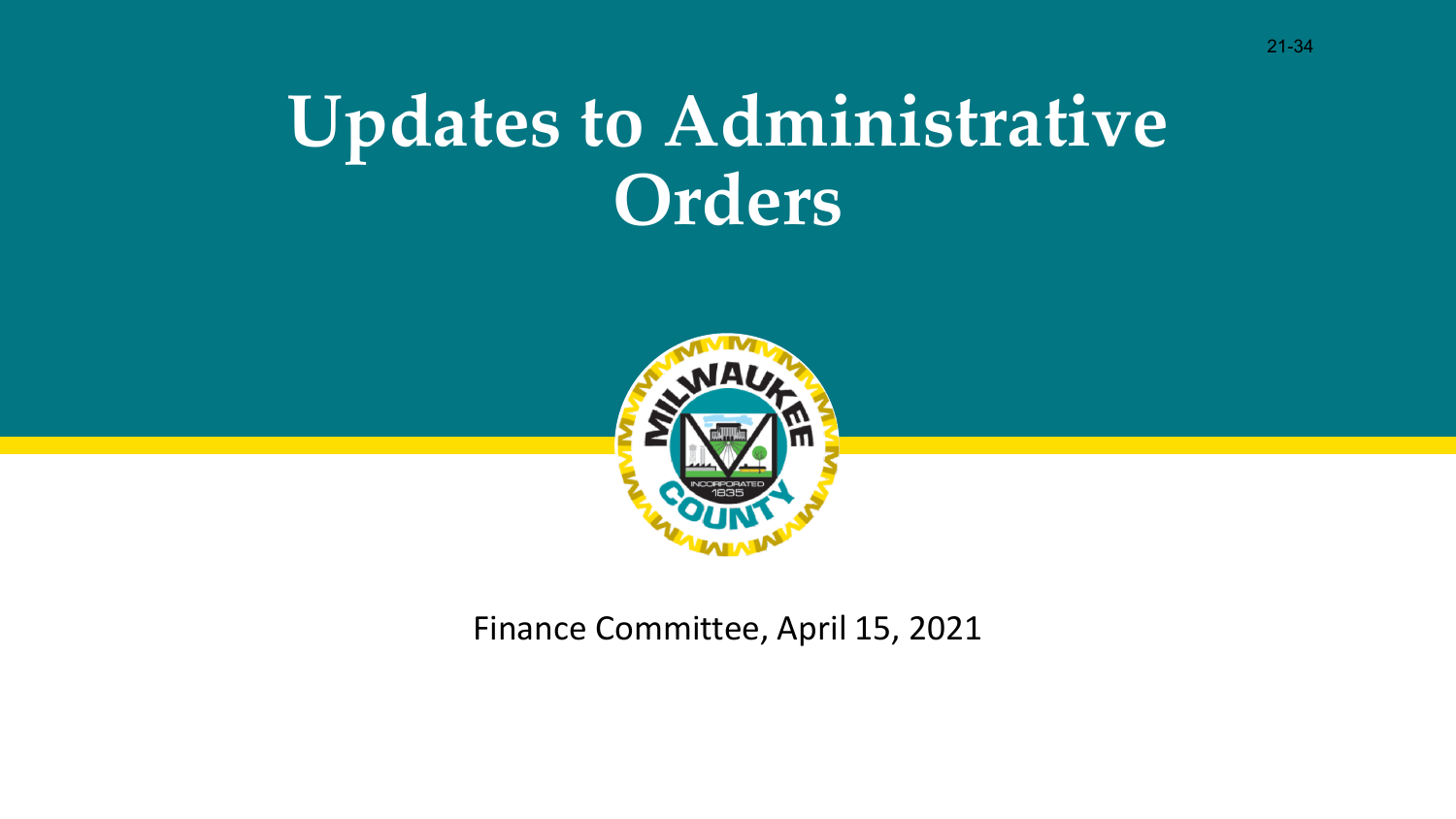## **Updates to Administrative Orders**



Finance Committee, April 15, 2021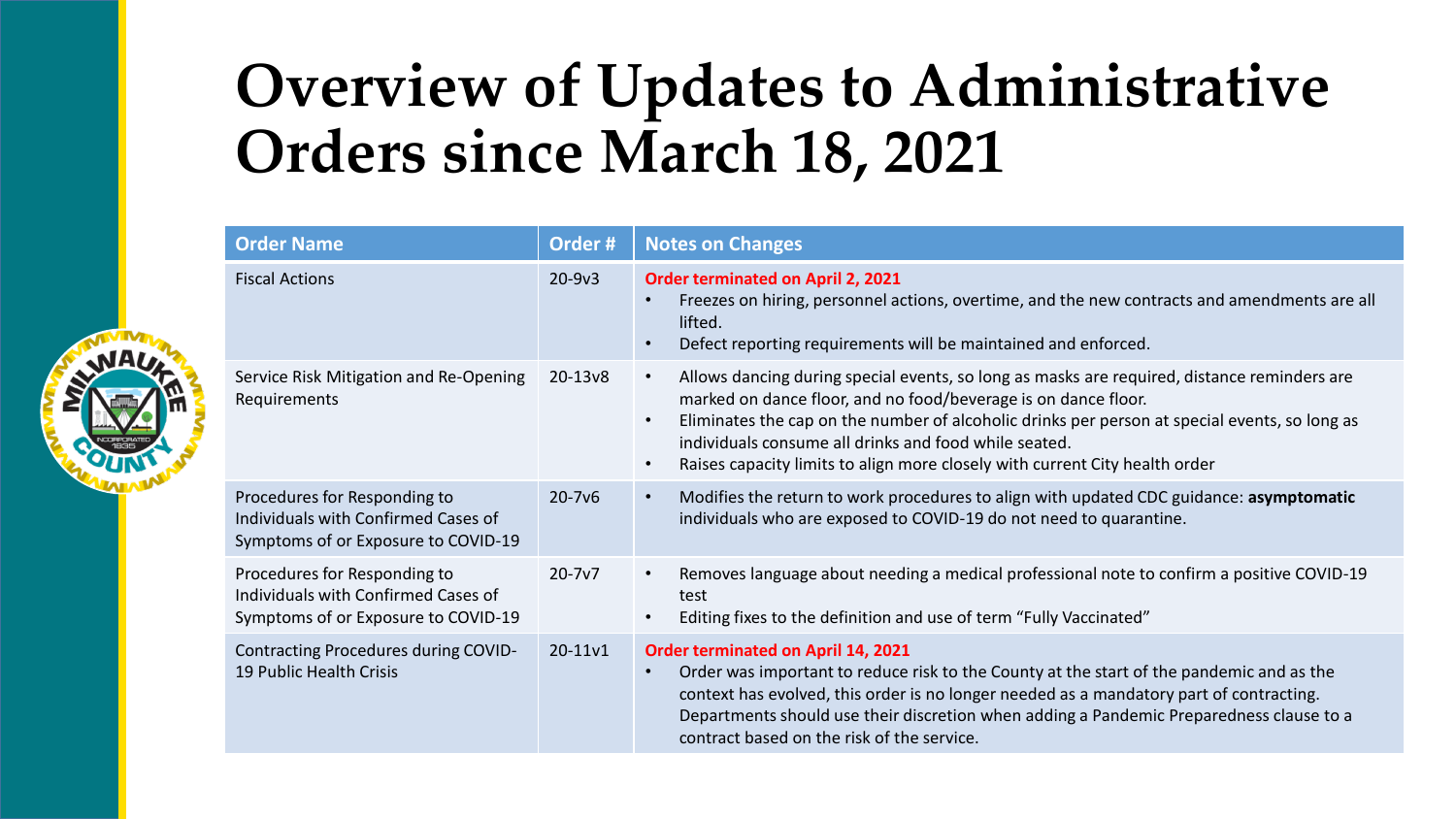## **Overview of Updates to Administrative Orders since March 18, 2021**

| <b>Order Name</b>                                                                                          | Order#     | <b>Notes on Changes</b>                                                                                                                                                                                                                                                                                                                                                                                                                       |  |
|------------------------------------------------------------------------------------------------------------|------------|-----------------------------------------------------------------------------------------------------------------------------------------------------------------------------------------------------------------------------------------------------------------------------------------------------------------------------------------------------------------------------------------------------------------------------------------------|--|
| <b>Fiscal Actions</b>                                                                                      | $20 - 9v3$ | Order terminated on April 2, 2021<br>Freezes on hiring, personnel actions, overtime, and the new contracts and amendments are all<br>lifted.<br>Defect reporting requirements will be maintained and enforced.<br>$\bullet$                                                                                                                                                                                                                   |  |
| Service Risk Mitigation and Re-Opening<br>Requirements                                                     | 20-13v8    | Allows dancing during special events, so long as masks are required, distance reminders are<br>$\bullet$<br>marked on dance floor, and no food/beverage is on dance floor.<br>Eliminates the cap on the number of alcoholic drinks per person at special events, so long as<br>$\bullet$<br>individuals consume all drinks and food while seated.<br>Raises capacity limits to align more closely with current City health order<br>$\bullet$ |  |
| Procedures for Responding to<br>Individuals with Confirmed Cases of<br>Symptoms of or Exposure to COVID-19 | $20 - 7v6$ | Modifies the return to work procedures to align with updated CDC guidance: asymptomatic<br>$\bullet$<br>individuals who are exposed to COVID-19 do not need to quarantine.                                                                                                                                                                                                                                                                    |  |
| Procedures for Responding to<br>Individuals with Confirmed Cases of<br>Symptoms of or Exposure to COVID-19 | $20 - 7v7$ | Removes language about needing a medical professional note to confirm a positive COVID-19<br>$\bullet$<br>test<br>Editing fixes to the definition and use of term "Fully Vaccinated"<br>$\bullet$                                                                                                                                                                                                                                             |  |
| Contracting Procedures during COVID-<br>19 Public Health Crisis                                            | 20-11v1    | Order terminated on April 14, 2021<br>Order was important to reduce risk to the County at the start of the pandemic and as the<br>context has evolved, this order is no longer needed as a mandatory part of contracting.<br>Departments should use their discretion when adding a Pandemic Preparedness clause to a<br>contract based on the risk of the service.                                                                            |  |